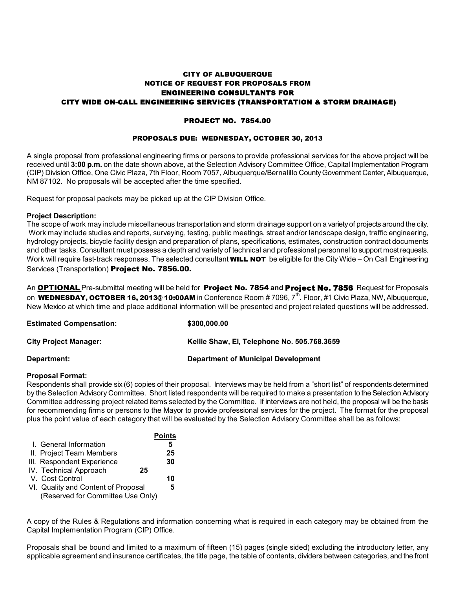# **CITY OF ALBUQUERQUE NOTICE OF REQUEST FOR PROPOSALS FROM ENGINEERING CONSULTANTS FOR CITY WIDE ON-CALL ENGINEERING SERVICES (TRANSPORTATION & STORM DRAINAGE)**

# **PROJECT NO. 7854.00**

### **PROPOSALS DUE: WEDNESDAY, OCTOBER 30, 2013**

A single proposal from professional engineering firms or persons to provide professional services for the above project will be received until **3:00 p.m.** on the date shown above, at the Selection Advisory Committee Office, Capital Implementation Program (CIP) Division Office, One Civic Plaza, 7th Floor, Room 7057, Albuquerque/Bernalillo CountyGovernment Center,Albuquerque, NM 87102. No proposals will be accepted after the time specified.

Request for proposal packets may be picked up at the CIP Division Office.

# **Project Description:**

The scope of work may include miscellaneous transportation and storm drainage support on a varietyof projects around the city. Work may include studies and reports, surveying, testing, public meetings, street and/or landscape design, traffic engineering, hydrology projects, bicycle facility design and preparation of plans, specifications, estimates, construction contract documents and other tasks. Consultant must possess a depth and variety of technical and professional personnel to support mostrequests. Work will require fast-track responses. The selected consultant **WILL NOT** be eligible for the City Wide – On Call Engineering Services (Transportation) **Project No. 7856.00.**

An **OPTIONAL** Presubmittal meeting will be held for **Project No. 7854 and Project No. 7856** Request for Proposals on **WEDNESDAY, OCTOBER 16, 2013@ 10:00AM** in Conference Room # 7096, 7 th . Floor, #1 Civic Plaza, NW, Albuquerque, New Mexico at which time and place additional information will be presented and project related questions will be addressed.

| <b>Estimated Compensation:</b> | \$300,000.00                                |
|--------------------------------|---------------------------------------------|
| <b>City Project Manager:</b>   | Kellie Shaw, El, Telephone No. 505.768.3659 |
| Department:                    | <b>Department of Municipal Development</b>  |

### **Proposal Format:**

Respondents shall provide six (6) copies of their proposal. Interviews may be held from a "short list" of respondents determined by the Selection Advisory Committee. Short listed respondents will be required to make a presentation to the Selection Advisory Committee addressing project related items selected by the Committee. If interviews are not held, the proposal will be the basis for recommending firms or persons to the Mayor to provide professional services for the project. The format for the proposal plus the point value of each category that will be evaluated by the Selection Advisory Committee shall be as follows:

|                                                                          | <b>Points</b> |
|--------------------------------------------------------------------------|---------------|
| I. General Information                                                   | 5             |
| II. Project Team Members                                                 | 25            |
| III. Respondent Experience                                               | 30            |
| IV. Technical Approach<br>25                                             |               |
| V. Cost Control                                                          | 10            |
|                                                                          |               |
|                                                                          |               |
| VI. Quality and Content of Proposal<br>(Reserved for Committee Use Only) |               |

A copy of the Rules & Regulations and information concerning what is required in each category may be obtained from the Capital Implementation Program (CIP) Office.

Proposals shall be bound and limited to a maximum of fifteen (15) pages (single sided) excluding the introductory letter, any applicable agreement and insurance certificates, the title page, the table of contents, dividers between categories, and the front